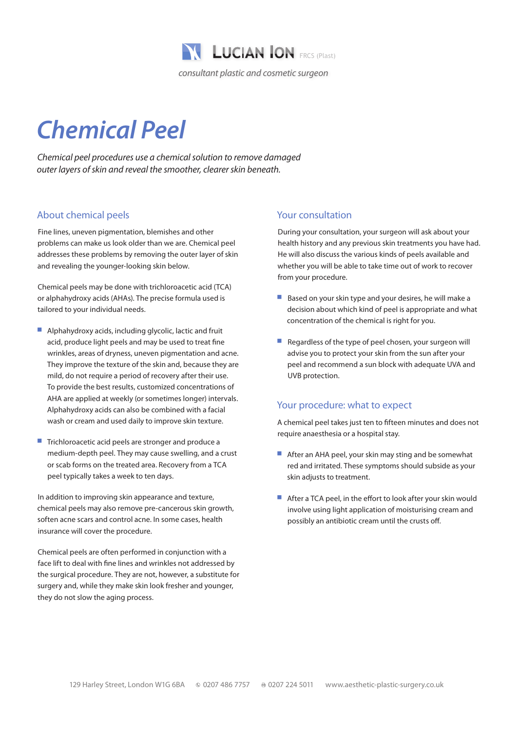

# *Chemical Peel*

*Chemical peel procedures use a chemical solution to remove damaged outer layers of skin and reveal the smoother, clearer skin beneath.*

## About chemical peels

Fine lines, uneven pigmentation, blemishes and other problems can make us look older than we are. Chemical peel addresses these problems by removing the outer layer of skin and revealing the younger-looking skin below.

Chemical peels may be done with trichloroacetic acid (TCA) or alphahydroxy acids (AHAs). The precise formula used is tailored to your individual needs.

- $\blacksquare$  Alphahydroxy acids, including glycolic, lactic and fruit acid, produce light peels and may be used to treat fine wrinkles, areas of dryness, uneven pigmentation and acne. They improve the texture of the skin and, because they are mild, do not require a period of recovery after their use. To provide the best results, customized concentrations of AHA are applied at weekly (or sometimes longer) intervals. Alphahydroxy acids can also be combined with a facial wash or cream and used daily to improve skin texture.
- Trichloroacetic acid peels are stronger and produce a medium-depth peel. They may cause swelling, and a crust or scab forms on the treated area. Recovery from a TCA peel typically takes a week to ten days.

In addition to improving skin appearance and texture, chemical peels may also remove pre-cancerous skin growth, soften acne scars and control acne. In some cases, health insurance will cover the procedure.

Chemical peels are often performed in conjunction with a face lift to deal with fine lines and wrinkles not addressed by the surgical procedure. They are not, however, a substitute for surgery and, while they make skin look fresher and younger, they do not slow the aging process.

## Your consultation

During your consultation, your surgeon will ask about your health history and any previous skin treatments you have had. He will also discuss the various kinds of peels available and whether you will be able to take time out of work to recover from your procedure.

- $\blacksquare$  Based on your skin type and your desires, he will make a decision about which kind of peel is appropriate and what concentration of the chemical is right for you.
- $\blacksquare$  Regardless of the type of peel chosen, your surgeon will advise you to protect your skin from the sun after your peel and recommend a sun block with adequate UVA and UVB protection.

# Your procedure: what to expect

A chemical peel takes just ten to fifteen minutes and does not require anaesthesia or a hospital stay.

- **E** After an AHA peel, your skin may sting and be somewhat red and irritated. These symptoms should subside as your skin adjusts to treatment.
- After a TCA peel, in the effort to look after your skin would involve using light application of moisturising cream and possibly an antibiotic cream until the crusts off.